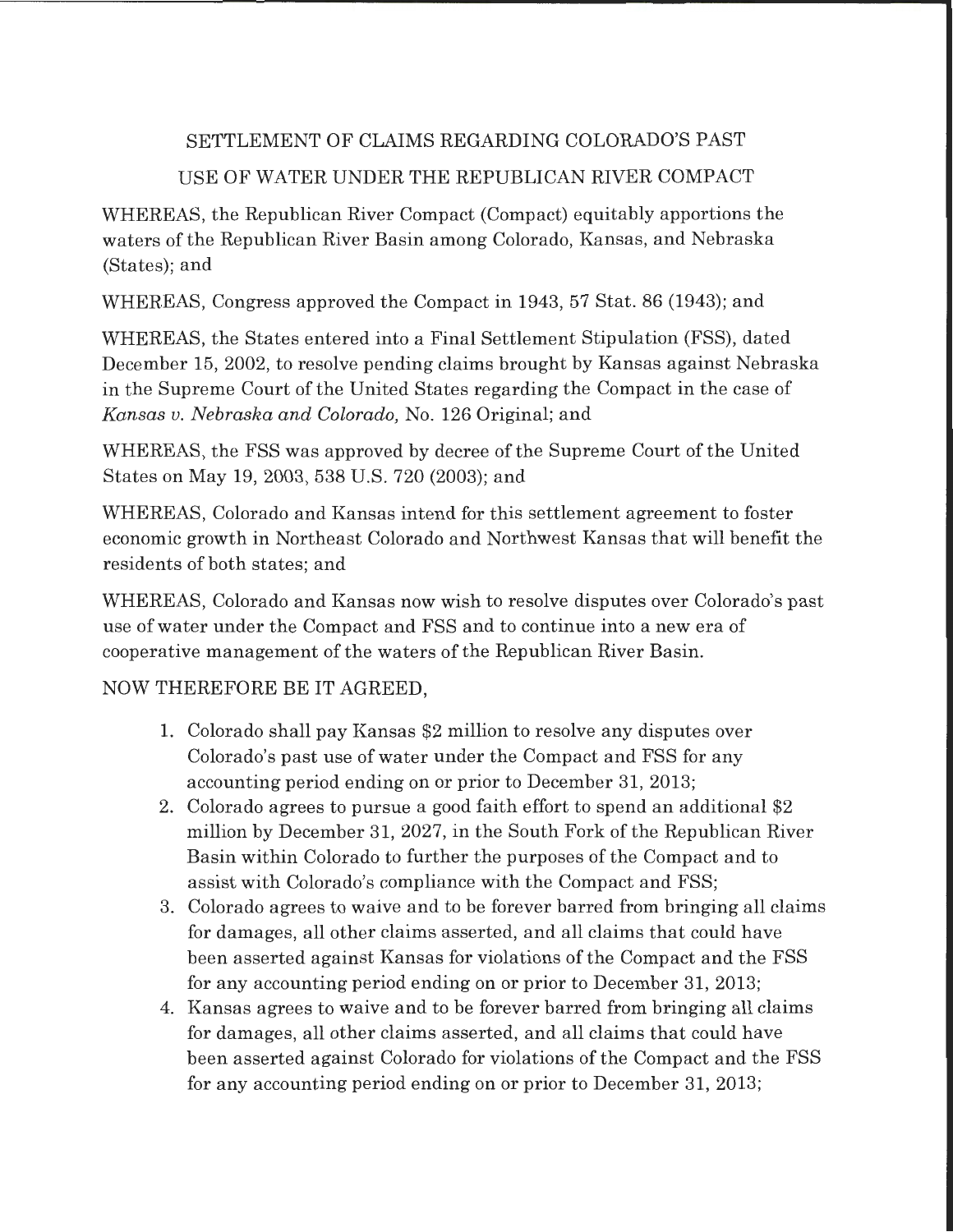## SETTLEMENT OF CLAIMS REGARDING COLORADO'S PAST USE OF WATER UNDER THE REPUBLICAN RIVER COMPACT

WHEREAS, the Republican River Compact (Compact) equitably apportions the waters of the Republican River Basin among Colorado, Kansas, and Nebraska (States); and

WHEREAS, Congress approved the Compact in 1943, 57 Stat. 86 (1943); and

WHEREAS, the States entered into a Final Settlement Stipulation (FSS), dated December 15, 2002, to resolve pending claims brought by Kansas against Nebraska in the Supreme Court of the United States regarding the Compact in the case of *Kansas v. Nebraska and Colorado,* No. 126 Original; and

WHEREAS, the FSS was approved by decree of the Supreme Court of the United States on May 19, 2003, 538 U.S. 720 (2003); and

WHEREAS, Colorado and Kansas intend for this settlement agreement to foster economic growth in Northeast Colorado and Northwest Kansas that will benefit the residents of both states; and

WHEREAS, Colorado and Kansas now wish to resolve disputes over Colorado's past use of water under the Compact and FSS and to continue into a new era of cooperative management of the waters of the Republican River Basin.

## NOW THEREFORE BE IT AGREED,

- 1. Colorado shall pay Kansas \$2 million to resolve any disputes over Colorado's past use of water under the Compact and FSS for any accounting period ending on or prior to December 31, 2013;
- 2. Colorado agrees to pursue a good faith effort to spend an additional \$2 million by December 31, 2027, in the South Fork of the Republican River Basin within Colorado to further the purposes of the Compact and to assist with Colorado's compliance with the Compact and FSS;
- 3. Colorado agrees to waive and to be forever barred from bringing all claims for damages, all other claims asserted, and all claims that could have been asserted against Kansas for violations of the Compact and the FSS for any accounting period ending on or prior to December 31, 2013;
- 4. Kansas agrees to waive and to be forever barred from bringing all claims for damages, all other claims asserted, and all claims that could have been asserted against Colorado for violations of the Compact and the FSS for any accounting period ending on or prior to December 31, 2013;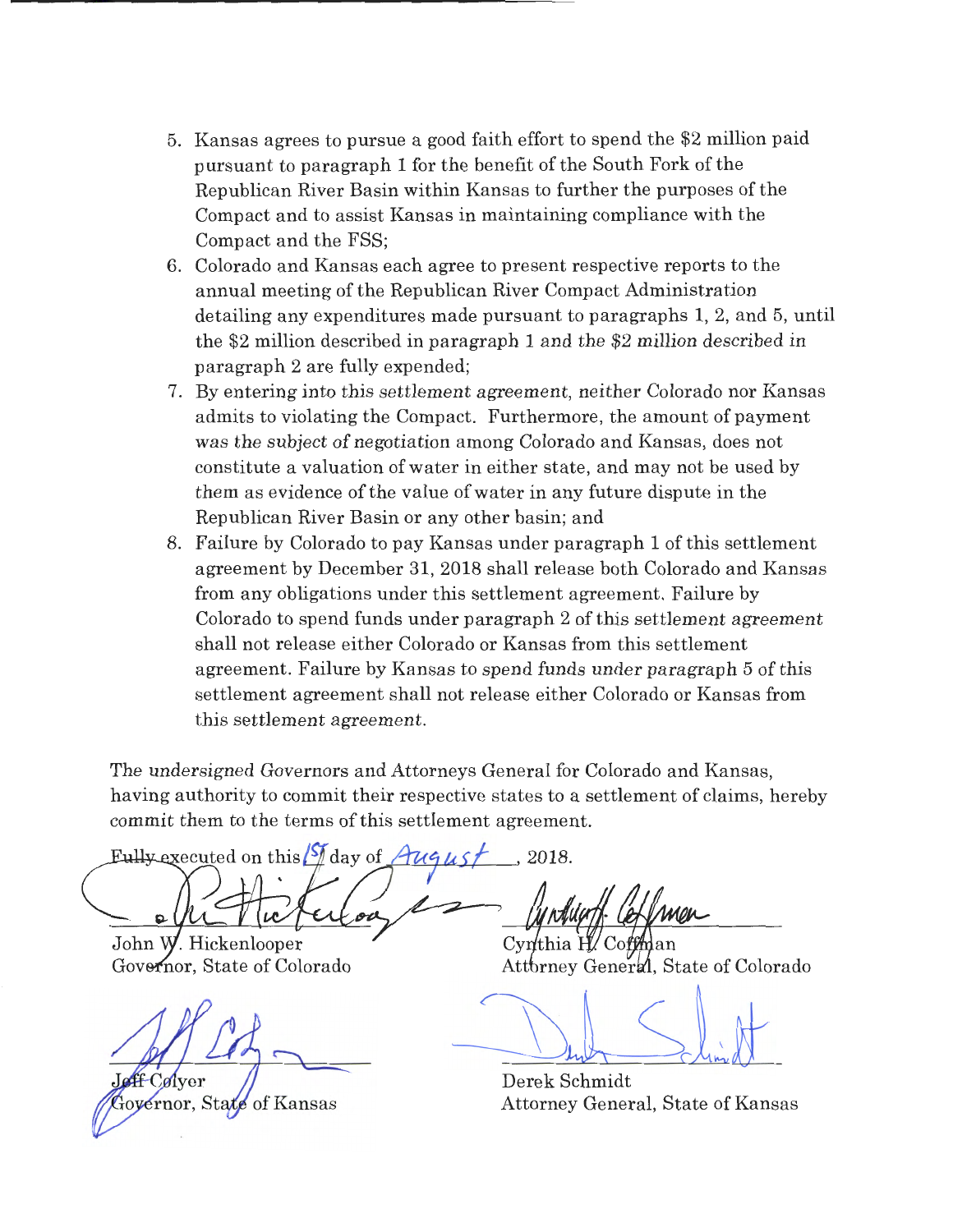- 5. Kansas agrees to pursue a good faith effort to spend the \$2 million paid pursuant to paragraph 1 for the benefit of the South Fork of the Republican River Basin within Kansas to further the purposes of the Compact and to assist Kansas in maintaining compliance with the Compact and the FSS;
- 6. Colorado and Kansas each agree to present respective reports to the annual meeting of the Republican River Compact Administration detailing any expenditures made pursuant to paragraphs 1, 2, and 5, until the \$2 million described in paragraph 1 and the \$2 million described in paragraph 2 are fully expended;
- 7. By entering into this settlement agreement, neither Colorado nor Kansas admits to violating the Compact. Furthermore, the amount of payment was the subject of negotiation among Colorado and Kansas, does not constitute a valuation of water in either state, and may not be used by them as evidence of the value of water in any future dispute in the Republican River Basin or any other basin; and
- 8. Failure by Colorado to pay Kansas under paragraph 1 of this settlement agreement by December 31, 2018 shall release both Colorado and Kansas from any obligations under this settlement agreement. Failure by Colorado to spend funds under paragraph 2 of this settlement agreement shall not release either Colorado or Kansas from this settlement agreement. Failure by Kansas to spend funds under paragraph 5 of this settlement agreement shall not release either Colorado or Kansas from this settlement agreement.

The undersigned Governors and Attorneys General for Colorado and Kansas, having authority to commit their respective states to a settlement of claims, hereby commit them to the terms of this settlement agreement.

Eully executed on this  $\frac{1}{8}$  clay of  $\frac{1}{4}$ ugust , 2018

John W. Hickenlooper Governor, State of Colorado

**ff** Colver

Governor, State of Kansas

Cynthia H ' Coffman

Attbrney General, State of Colorado

Derek Schmidt Attorney General, State of Kansas